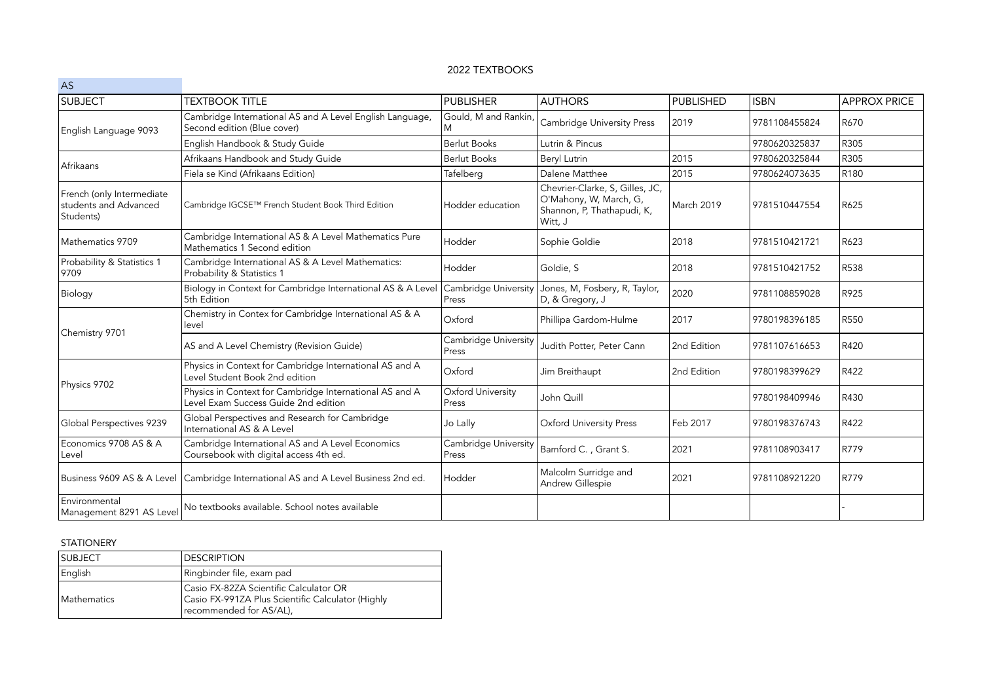## 2022 TEXTBOOKS

| AS                                                              |                                                                                                 |                               |                                                                                                    |                  |               |                     |
|-----------------------------------------------------------------|-------------------------------------------------------------------------------------------------|-------------------------------|----------------------------------------------------------------------------------------------------|------------------|---------------|---------------------|
| <b>SUBJECT</b>                                                  | <b>TEXTBOOK TITLE</b>                                                                           | <b>PUBLISHER</b>              | <b>AUTHORS</b>                                                                                     | <b>PUBLISHED</b> | <b>ISBN</b>   | <b>APPROX PRICE</b> |
| English Language 9093                                           | Cambridge International AS and A Level English Language,<br>Second edition (Blue cover)         | Gould, M and Rankin,<br>M     | Cambridge University Press                                                                         | 2019             | 9781108455824 | R670                |
|                                                                 | English Handbook & Study Guide                                                                  | <b>Berlut Books</b>           | Lutrin & Pincus                                                                                    |                  | 9780620325837 | R305                |
| Afrikaans                                                       | Afrikaans Handbook and Study Guide                                                              | <b>Berlut Books</b>           | Beryl Lutrin                                                                                       | 2015             | 9780620325844 | R305                |
|                                                                 | Fiela se Kind (Afrikaans Edition)                                                               | Tafelberg                     | Dalene Matthee                                                                                     | 2015             | 9780624073635 | R <sub>180</sub>    |
| French (only Intermediate<br>students and Advanced<br>Students) | Cambridge IGCSE™ French Student Book Third Edition                                              | Hodder education              | Chevrier-Clarke, S, Gilles, JC,<br>O'Mahony, W, March, G,<br>Shannon, P, Thathapudi, K,<br>Witt, J | March 2019       | 9781510447554 | R625                |
| Mathematics 9709                                                | Cambridge International AS & A Level Mathematics Pure<br>Mathematics 1 Second edition           | Hodder                        | Sophie Goldie                                                                                      | 2018             | 9781510421721 | R623                |
| Probability & Statistics 1<br>9709                              | Cambridge International AS & A Level Mathematics:<br>Probability & Statistics 1                 | Hodder                        | Goldie, S                                                                                          | 2018             | 9781510421752 | R538                |
| Biology                                                         | Biology in Context for Cambridge International AS & A Level<br>5th Edition                      | Cambridge University<br>Press | Jones, M, Fosbery, R, Taylor,<br>D, & Gregory, J                                                   | 2020             | 9781108859028 | R925                |
| Chemistry 9701                                                  | Chemistry in Contex for Cambridge International AS & A<br>level                                 | Oxford                        | Phillipa Gardom-Hulme                                                                              | 2017             | 9780198396185 | <b>R550</b>         |
|                                                                 | AS and A Level Chemistry (Revision Guide)                                                       | Cambridge University<br>Press | Judith Potter, Peter Cann                                                                          | 2nd Edition      | 9781107616653 | R420                |
| Physics 9702                                                    | Physics in Context for Cambridge International AS and A<br>Level Student Book 2nd edition       | Oxford                        | Jim Breithaupt                                                                                     | 2nd Edition      | 9780198399629 | R422                |
|                                                                 | Physics in Context for Cambridge International AS and A<br>Level Exam Success Guide 2nd edition | Oxford University<br>Press    | John Quill                                                                                         |                  | 9780198409946 | R430                |
| Global Perspectives 9239                                        | Global Perspectives and Research for Cambridge<br>International AS & A Level                    | Jo Lally                      | <b>Oxford University Press</b>                                                                     | Feb 2017         | 9780198376743 | R422                |
| Economics 9708 AS & A<br>Level                                  | Cambridge International AS and A Level Economics<br>Coursebook with digital access 4th ed.      | Cambridge University<br>Press | Bamford C., Grant S.                                                                               | 2021             | 9781108903417 | R779                |
|                                                                 | Business 9609 AS & A Level   Cambridge International AS and A Level Business 2nd ed.            | Hodder                        | Malcolm Surridge and<br>Andrew Gillespie                                                           | 2021             | 9781108921220 | R779                |
| Environmental<br>Management 8291 AS Level                       | No textbooks available. School notes available                                                  |                               |                                                                                                    |                  |               |                     |

## STATIONERY

| <b>SUBJECT</b>      | <b>IDESCRIPTION</b>                                                                                                    |
|---------------------|------------------------------------------------------------------------------------------------------------------------|
| English             | Ringbinder file, exam pad                                                                                              |
| <b>IMathematics</b> | Casio FX-82ZA Scientific Calculator OR<br>Casio FX-991ZA Plus Scientific Calculator (Highly<br>recommended for AS/AL), |